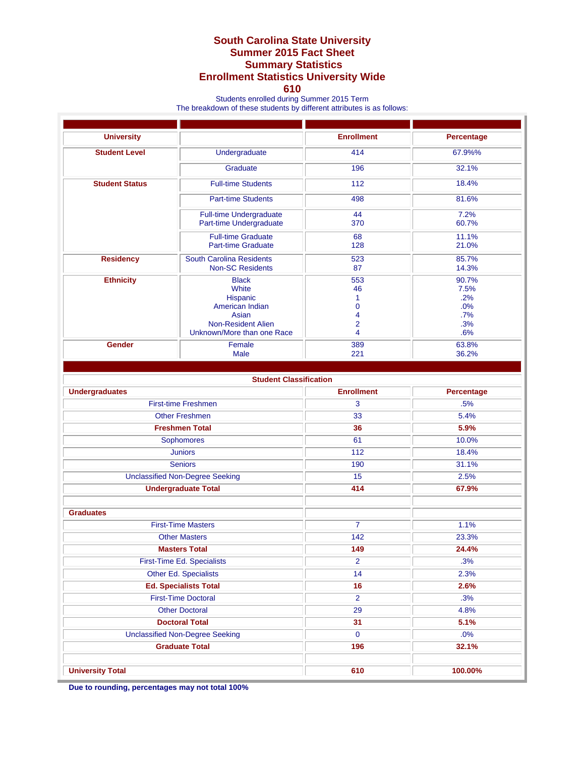## **South Carolina State University Summer 2015 Fact Sheet Summary Statistics Enrollment Statistics University Wide**

## **610**

Students enrolled during Summer 2015 Term

The breakdown of these students by different attributes is as follows:

| <b>University</b>                      |                                                                                                                          | <b>Enrollment</b>                                          | Percentage                                       |
|----------------------------------------|--------------------------------------------------------------------------------------------------------------------------|------------------------------------------------------------|--------------------------------------------------|
| <b>Student Level</b>                   | Undergraduate                                                                                                            | 414                                                        | 67.9%%                                           |
|                                        | Graduate                                                                                                                 | 196                                                        | 32.1%                                            |
| <b>Student Status</b>                  | <b>Full-time Students</b>                                                                                                | 112                                                        | 18.4%                                            |
|                                        | <b>Part-time Students</b>                                                                                                | 498                                                        | 81.6%                                            |
|                                        | <b>Full-time Undergraduate</b><br>Part-time Undergraduate                                                                | 44<br>370                                                  | 7.2%<br>60.7%                                    |
|                                        | <b>Full-time Graduate</b><br><b>Part-time Graduate</b>                                                                   | 68<br>128                                                  | 11.1%<br>21.0%                                   |
| <b>Residency</b>                       | <b>South Carolina Residents</b><br><b>Non-SC Residents</b>                                                               | 523<br>87                                                  | 85.7%<br>14.3%                                   |
| <b>Ethnicity</b>                       | <b>Black</b><br>White<br>Hispanic<br>American Indian<br>Asian<br><b>Non-Resident Alien</b><br>Unknown/More than one Race | 553<br>46<br>1<br>$\mathbf{0}$<br>4<br>$\overline{2}$<br>4 | 90.7%<br>7.5%<br>.2%<br>.0%<br>.7%<br>.3%<br>.6% |
| <b>Gender</b>                          | Female<br><b>Male</b>                                                                                                    | 389<br>221                                                 | 63.8%<br>36.2%                                   |
|                                        |                                                                                                                          |                                                            |                                                  |
|                                        | <b>Student Classification</b>                                                                                            |                                                            |                                                  |
| <b>Undergraduates</b>                  |                                                                                                                          | <b>Enrollment</b>                                          | <b>Percentage</b>                                |
|                                        | <b>First-time Freshmen</b>                                                                                               | 3                                                          | .5%                                              |
| <b>Other Freshmen</b>                  |                                                                                                                          | 33                                                         | 5.4%                                             |
| <b>Freshmen Total</b>                  |                                                                                                                          | 36                                                         | 5.9%                                             |
| Sophomores                             |                                                                                                                          | 61                                                         | 10.0%                                            |
| <b>Juniors</b>                         |                                                                                                                          | 112                                                        | 18.4%                                            |
| <b>Seniors</b>                         |                                                                                                                          | 190                                                        | 31.1%                                            |
| <b>Unclassified Non-Degree Seeking</b> |                                                                                                                          | 15                                                         | 2.5%                                             |
| <b>Undergraduate Total</b>             |                                                                                                                          | 414                                                        | 67.9%                                            |
|                                        |                                                                                                                          |                                                            |                                                  |
| <b>Graduates</b>                       |                                                                                                                          |                                                            |                                                  |
| <b>First-Time Masters</b>              |                                                                                                                          | $\overline{7}$                                             | 1.1%                                             |
| <b>Other Masters</b>                   |                                                                                                                          | 142                                                        | 23.3%                                            |
| <b>Masters Total</b>                   |                                                                                                                          | 149                                                        | 24.4%                                            |
| First-Time Ed. Specialists             |                                                                                                                          | $\overline{2}$                                             | .3%                                              |
| Other Ed. Specialists                  |                                                                                                                          | 14                                                         | 2.3%                                             |
| <b>Ed. Specialists Total</b>           |                                                                                                                          | 16                                                         | 2.6%                                             |
| <b>First-Time Doctoral</b>             |                                                                                                                          | $\overline{2}$                                             | .3%                                              |
| <b>Other Doctoral</b>                  |                                                                                                                          | 29                                                         | 4.8%                                             |
| <b>Doctoral Total</b>                  |                                                                                                                          | 31                                                         | 5.1%                                             |
| <b>Unclassified Non-Degree Seeking</b> |                                                                                                                          | $\mathbf 0$                                                | .0%                                              |
| <b>Graduate Total</b>                  |                                                                                                                          | 196                                                        | 32.1%                                            |
| <b>University Total</b>                |                                                                                                                          | 610                                                        | 100.00%                                          |

**Due to rounding, percentages may not total 100%**